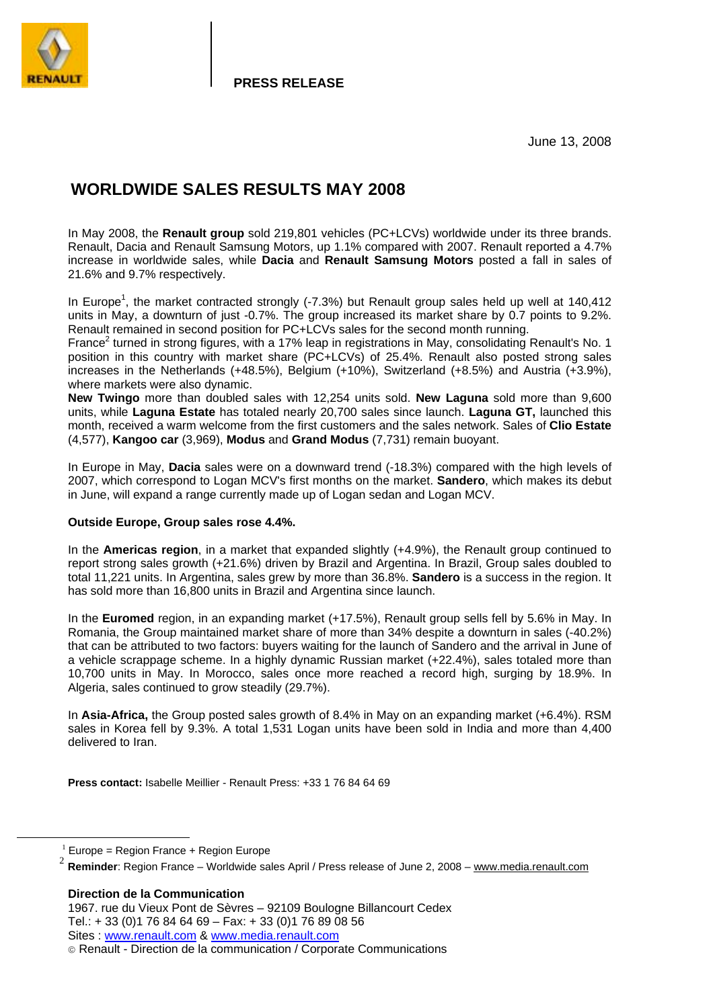

**PRESS RELEASE**

# **WORLDWIDE SALES RESULTS MAY 2008**

In May 2008, the **Renault group** sold 219,801 vehicles (PC+LCVs) worldwide under its three brands. Renault, Dacia and Renault Samsung Motors, up 1.1% compared with 2007. Renault reported a 4.7% increase in worldwide sales, while **Dacia** and **Renault Samsung Motors** posted a fall in sales of 21.6% and 9.7% respectively.

In Europe<sup>1</sup>, the market contracted strongly (-7.3%) but Renault group sales held up well at 140,412 units in May, a downturn of just -0.7%. The group increased its market share by 0.7 points to 9.2%. Renault remained in second position for PC+LCVs sales for the second month running.

France<sup>2</sup> turned in strong figures, with a 17% leap in registrations in May, consolidating Renault's No. 1 position in this country with market share (PC+LCVs) of 25.4%. Renault also posted strong sales increases in the Netherlands (+48.5%), Belgium (+10%), Switzerland (+8.5%) and Austria (+3.9%), where markets were also dynamic.

**New Twingo** more than doubled sales with 12,254 units sold. **New Laguna** sold more than 9,600 units, while **Laguna Estate** has totaled nearly 20,700 sales since launch. **Laguna GT,** launched this month, received a warm welcome from the first customers and the sales network. Sales of **Clio Estate** (4,577), **Kangoo car** (3,969), **Modus** and **Grand Modus** (7,731) remain buoyant.

In Europe in May, **Dacia** sales were on a downward trend (-18.3%) compared with the high levels of 2007, which correspond to Logan MCV's first months on the market. **Sandero**, which makes its debut in June, will expand a range currently made up of Logan sedan and Logan MCV.

#### **Outside Europe, Group sales rose 4.4%.**

In the **Americas region**, in a market that expanded slightly (+4.9%), the Renault group continued to report strong sales growth (+21.6%) driven by Brazil and Argentina. In Brazil, Group sales doubled to total 11,221 units. In Argentina, sales grew by more than 36.8%. **Sandero** is a success in the region. It has sold more than 16,800 units in Brazil and Argentina since launch.

In the **Euromed** region, in an expanding market (+17.5%), Renault group sells fell by 5.6% in May. In Romania, the Group maintained market share of more than 34% despite a downturn in sales (-40.2%) that can be attributed to two factors: buyers waiting for the launch of Sandero and the arrival in June of a vehicle scrappage scheme. In a highly dynamic Russian market (+22.4%), sales totaled more than 10,700 units in May. In Morocco, sales once more reached a record high, surging by 18.9%. In Algeria, sales continued to grow steadily (29.7%).

In **Asia-Africa,** the Group posted sales growth of 8.4% in May on an expanding market (+6.4%). RSM sales in Korea fell by 9.3%. A total 1,531 Logan units have been sold in India and more than 4,400 delivered to Iran.

**Press contact:** Isabelle Meillier - Renault Press: +33 1 76 84 64 69

 $1$  Europe = Region France + Region Europe

**Direction de la Communication** 

<sup>2</sup> **Reminder**: Region France – Worldwide sales April / Press release of June 2, 2008 – www.media.renault.com

<sup>1967.</sup> rue du Vieux Pont de Sèvres – 92109 Boulogne Billancourt Cedex Tel.: + 33 (0)1 76 84 64 69 – Fax: + 33 (0)1 76 89 08 56 Sites : www.renault.com & www.media.renault.com

Renault - Direction de la communication / Corporate Communications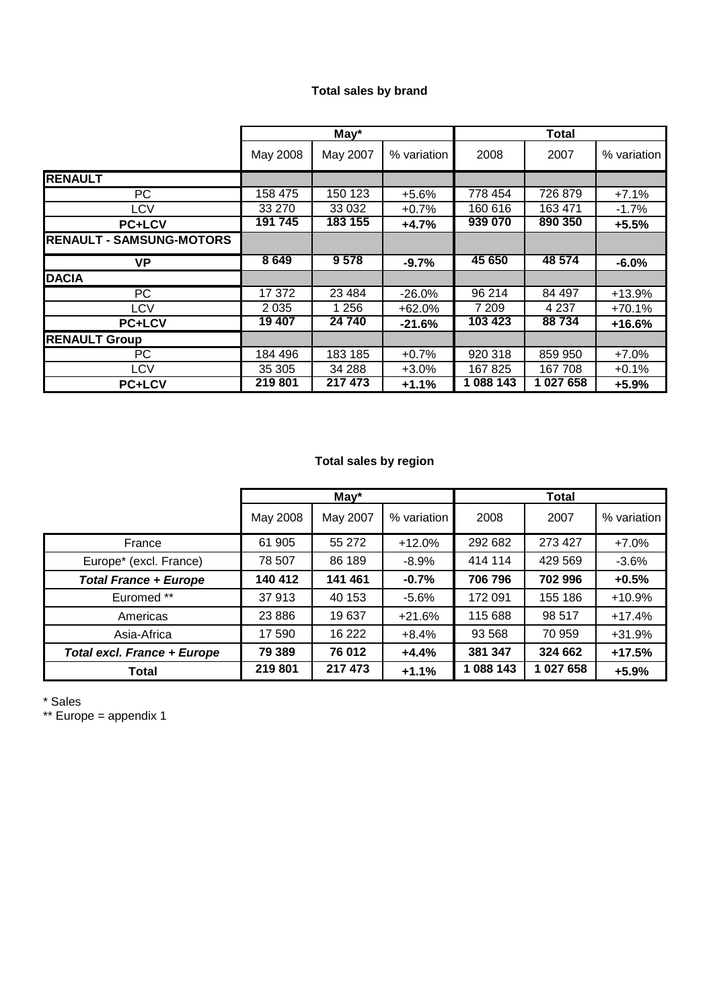## **Total sales by brand**

|                                 |          | $May*$<br>Total |             |           |         |             |
|---------------------------------|----------|-----------------|-------------|-----------|---------|-------------|
|                                 | May 2008 | May 2007        | % variation | 2008      | 2007    | % variation |
| <b>RENAULT</b>                  |          |                 |             |           |         |             |
| PС                              | 158 475  | 150 123         | $+5.6%$     | 778 454   | 726 879 | $+7.1%$     |
| LCV                             | 33 270   | 33 0 32         | $+0.7%$     | 160 616   | 163 471 | $-1.7%$     |
| <b>PC+LCV</b>                   | 191 745  | 183 155         | $+4.7%$     | 939 070   | 890 350 | $+5.5%$     |
| <b>RENAULT - SAMSUNG-MOTORS</b> |          |                 |             |           |         |             |
| VP                              | 8649     | 9578            | $-9.7%$     | 45 650    | 48 574  | $-6.0%$     |
| <b>DACIA</b>                    |          |                 |             |           |         |             |
| PC.                             | 17 372   | 23 4 84         | $-26.0%$    | 96 214    | 84 497  | $+13.9%$    |
| <b>LCV</b>                      | 2 0 3 5  | 1 2 5 6         | $+62.0%$    | 7 209     | 4 2 3 7 | $+70.1%$    |
| <b>PC+LCV</b>                   | 19 407   | 24 740          | $-21.6%$    | 103 423   | 88734   | $+16.6%$    |
| <b>RENAULT Group</b>            |          |                 |             |           |         |             |
| PC.                             | 184 496  | 183 185         | $+0.7%$     | 920 318   | 859 950 | $+7.0%$     |
| LCV                             | 35 305   | 34 288          | $+3.0%$     | 167 825   | 167708  | $+0.1%$     |
| <b>PC+LCV</b>                   | 219 801  | 217 473         | $+1.1%$     | 1 088 143 | 1027658 | $+5.9%$     |

## **Total sales by region**

|                                    |          | $May*$   | <b>Total</b> |           |           |             |
|------------------------------------|----------|----------|--------------|-----------|-----------|-------------|
|                                    | May 2008 | May 2007 | % variation  | 2008      | 2007      | % variation |
| France                             | 61 905   | 55 272   | $+12.0%$     | 292 682   | 273 427   | $+7.0%$     |
| Europe* (excl. France)             | 78 507   | 86 189   | $-8.9%$      | 414 114   | 429 569   | $-3.6%$     |
| <b>Total France + Europe</b>       | 140 412  | 141 461  | $-0.7%$      | 706 796   | 702 996   | $+0.5%$     |
| Euromed **                         | 37913    | 40 153   | $-5.6%$      | 172 091   | 155 186   | $+10.9%$    |
| Americas                           | 23 8 86  | 19637    | $+21.6%$     | 115 688   | 98 517    | $+17.4%$    |
| Asia-Africa                        | 17 590   | 16 222   | $+8.4%$      | 93 5 68   | 70 959    | $+31.9%$    |
| <b>Total excl. France + Europe</b> | 79 389   | 76 012   | $+4.4%$      | 381 347   | 324 662   | $+17.5%$    |
| Total                              | 219 801  | 217 473  | $+1.1%$      | 1 088 143 | 1 027 658 | $+5.9%$     |

\* Sales

\*\* Europe = appendix 1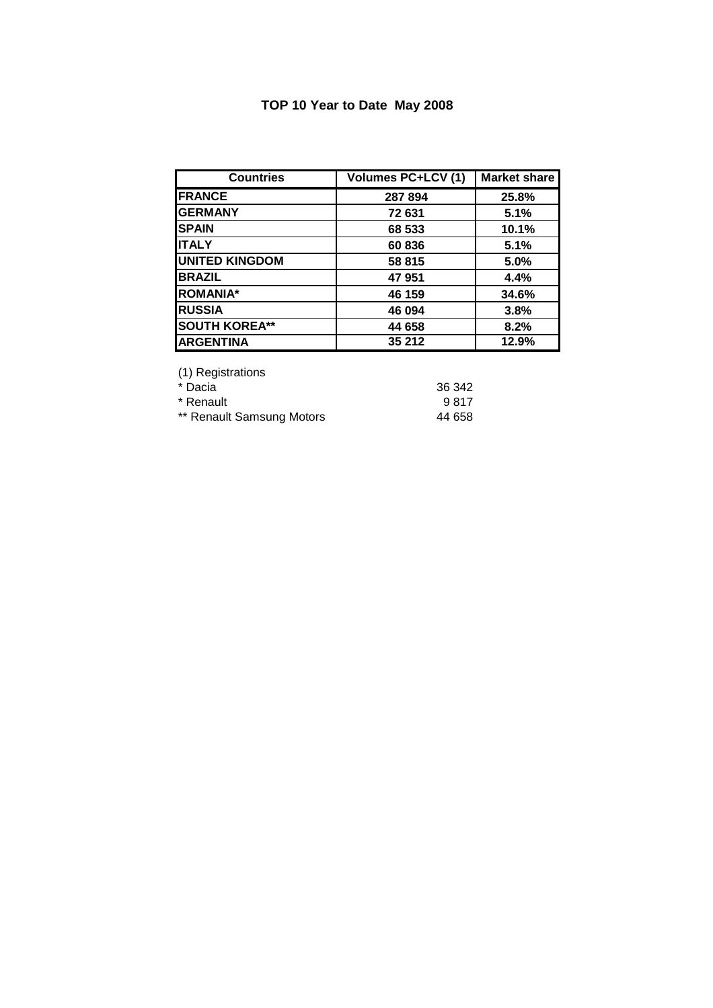## **TOP 10 Year to Date May 2008**

| <b>Countries</b>      | <b>Volumes PC+LCV (1)</b> | <b>Market share</b> |
|-----------------------|---------------------------|---------------------|
| <b>FRANCE</b>         | 287 894                   | 25.8%               |
| <b>GERMANY</b>        | 72 631                    | 5.1%                |
| <b>SPAIN</b>          | 68 533                    | 10.1%               |
| <b>ITALY</b>          | 60836                     | 5.1%                |
| <b>UNITED KINGDOM</b> | 58 815                    | 5.0%                |
| <b>BRAZIL</b>         | 47951                     | 4.4%                |
| <b>ROMANIA*</b>       | 46 159                    | 34.6%               |
| <b>RUSSIA</b>         | 46 094                    | 3.8%                |
| <b>SOUTH KOREA**</b>  | 44 658                    | 8.2%                |
| <b>ARGENTINA</b>      | 35 212                    | 12.9%               |

(1) Registrations

\* Dacia 36 342

\* Renault 9817 \*\* Renault Samsung Motors **44 658**